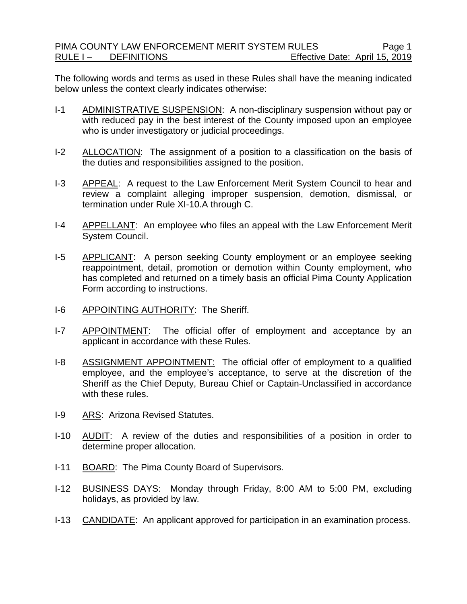The following words and terms as used in these Rules shall have the meaning indicated below unless the context clearly indicates otherwise:

- I-1 ADMINISTRATIVE SUSPENSION: A non-disciplinary suspension without pay or with reduced pay in the best interest of the County imposed upon an employee who is under investigatory or judicial proceedings.
- I-2 ALLOCATION: The assignment of a position to a classification on the basis of the duties and responsibilities assigned to the position.
- I-3 APPEAL: A request to the Law Enforcement Merit System Council to hear and review a complaint alleging improper suspension, demotion, dismissal, or termination under Rule XI-10.A through C.
- I-4 APPELLANT: An employee who files an appeal with the Law Enforcement Merit System Council.
- I-5 APPLICANT: A person seeking County employment or an employee seeking reappointment, detail, promotion or demotion within County employment, who has completed and returned on a timely basis an official Pima County Application Form according to instructions.
- I-6 APPOINTING AUTHORITY: The Sheriff.
- I-7 APPOINTMENT: The official offer of employment and acceptance by an applicant in accordance with these Rules.
- I-8 ASSIGNMENT APPOINTMENT: The official offer of employment to a qualified employee, and the employee's acceptance, to serve at the discretion of the Sheriff as the Chief Deputy, Bureau Chief or Captain-Unclassified in accordance with these rules.
- I-9 ARS: Arizona Revised Statutes.
- I-10 AUDIT: A review of the duties and responsibilities of a position in order to determine proper allocation.
- I-11 BOARD: The Pima County Board of Supervisors.
- I-12 BUSINESS DAYS: Monday through Friday, 8:00 AM to 5:00 PM, excluding holidays, as provided by law.
- I-13 CANDIDATE: An applicant approved for participation in an examination process.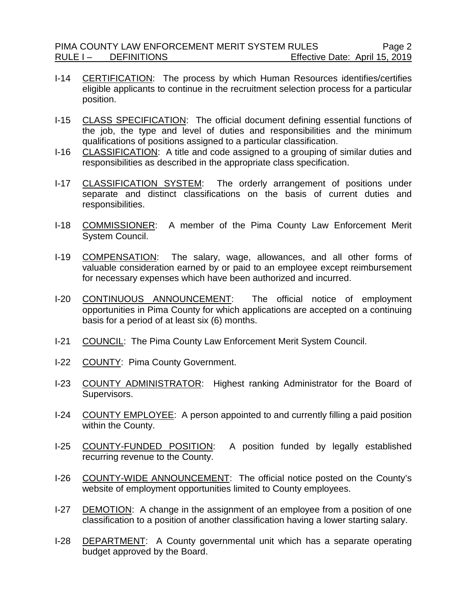- I-14 CERTIFICATION: The process by which Human Resources identifies/certifies eligible applicants to continue in the recruitment selection process for a particular position.
- I-15 CLASS SPECIFICATION: The official document defining essential functions of the job, the type and level of duties and responsibilities and the minimum qualifications of positions assigned to a particular classification.
- I-16 CLASSIFICATION: A title and code assigned to a grouping of similar duties and responsibilities as described in the appropriate class specification.
- I-17 CLASSIFICATION SYSTEM: The orderly arrangement of positions under separate and distinct classifications on the basis of current duties and responsibilities.
- I-18 COMMISSIONER: A member of the Pima County Law Enforcement Merit System Council.
- I-19 COMPENSATION: The salary, wage, allowances, and all other forms of valuable consideration earned by or paid to an employee except reimbursement for necessary expenses which have been authorized and incurred.
- I-20 CONTINUOUS ANNOUNCEMENT: The official notice of employment opportunities in Pima County for which applications are accepted on a continuing basis for a period of at least six (6) months.
- I-21 COUNCIL: The Pima County Law Enforcement Merit System Council.
- I-22 COUNTY: Pima County Government.
- I-23 COUNTY ADMINISTRATOR: Highest ranking Administrator for the Board of Supervisors.
- I-24 COUNTY EMPLOYEE: A person appointed to and currently filling a paid position within the County.
- I-25 COUNTY-FUNDED POSITION: A position funded by legally established recurring revenue to the County.
- I-26 COUNTY-WIDE ANNOUNCEMENT: The official notice posted on the County's website of employment opportunities limited to County employees.
- I-27 DEMOTION: A change in the assignment of an employee from a position of one classification to a position of another classification having a lower starting salary.
- I-28 DEPARTMENT: A County governmental unit which has a separate operating budget approved by the Board.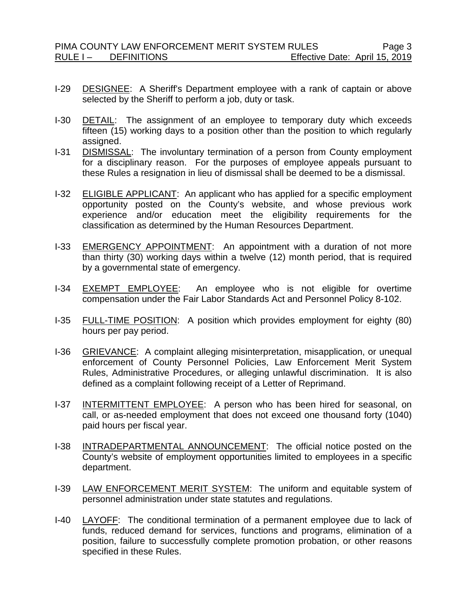- I-29 DESIGNEE: A Sheriff's Department employee with a rank of captain or above selected by the Sheriff to perform a job, duty or task.
- I-30 DETAIL: The assignment of an employee to temporary duty which exceeds fifteen (15) working days to a position other than the position to which regularly assigned.
- I-31 DISMISSAL: The involuntary termination of a person from County employment for a disciplinary reason. For the purposes of employee appeals pursuant to these Rules a resignation in lieu of dismissal shall be deemed to be a dismissal.
- I-32 ELIGIBLE APPLICANT: An applicant who has applied for a specific employment opportunity posted on the County's website, and whose previous work experience and/or education meet the eligibility requirements for the classification as determined by the Human Resources Department.
- I-33 EMERGENCY APPOINTMENT: An appointment with a duration of not more than thirty (30) working days within a twelve (12) month period, that is required by a governmental state of emergency.
- I-34 EXEMPT EMPLOYEE: An employee who is not eligible for overtime compensation under the Fair Labor Standards Act and Personnel Policy 8-102.
- I-35 FULL-TIME POSITION: A position which provides employment for eighty (80) hours per pay period.
- I-36 GRIEVANCE: A complaint alleging misinterpretation, misapplication, or unequal enforcement of County Personnel Policies, Law Enforcement Merit System Rules, Administrative Procedures, or alleging unlawful discrimination. It is also defined as a complaint following receipt of a Letter of Reprimand.
- I-37 INTERMITTENT EMPLOYEE: A person who has been hired for seasonal, on call, or as-needed employment that does not exceed one thousand forty (1040) paid hours per fiscal year.
- I-38 INTRADEPARTMENTAL ANNOUNCEMENT: The official notice posted on the County's website of employment opportunities limited to employees in a specific department.
- I-39 LAW ENFORCEMENT MERIT SYSTEM: The uniform and equitable system of personnel administration under state statutes and regulations.
- I-40 LAYOFF: The conditional termination of a permanent employee due to lack of funds, reduced demand for services, functions and programs, elimination of a position, failure to successfully complete promotion probation, or other reasons specified in these Rules.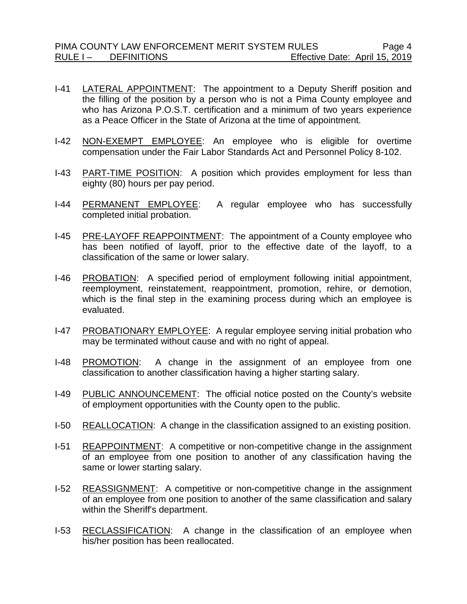- I-41 LATERAL APPOINTMENT: The appointment to a Deputy Sheriff position and the filling of the position by a person who is not a Pima County employee and who has Arizona P.O.S.T. certification and a minimum of two years experience as a Peace Officer in the State of Arizona at the time of appointment.
- I-42 NON-EXEMPT EMPLOYEE: An employee who is eligible for overtime compensation under the Fair Labor Standards Act and Personnel Policy 8-102.
- I-43 PART-TIME POSITION: A position which provides employment for less than eighty (80) hours per pay period.
- I-44 PERMANENT EMPLOYEE: A regular employee who has successfully completed initial probation.
- I-45 PRE-LAYOFF REAPPOINTMENT: The appointment of a County employee who has been notified of layoff, prior to the effective date of the layoff, to a classification of the same or lower salary.
- I-46 PROBATION: A specified period of employment following initial appointment, reemployment, reinstatement, reappointment, promotion, rehire, or demotion, which is the final step in the examining process during which an employee is evaluated.
- I-47 PROBATIONARY EMPLOYEE: A regular employee serving initial probation who may be terminated without cause and with no right of appeal.
- I-48 PROMOTION: A change in the assignment of an employee from one classification to another classification having a higher starting salary.
- I-49 PUBLIC ANNOUNCEMENT: The official notice posted on the County's website of employment opportunities with the County open to the public.
- I-50 REALLOCATION: A change in the classification assigned to an existing position.
- I-51 REAPPOINTMENT: A competitive or non-competitive change in the assignment of an employee from one position to another of any classification having the same or lower starting salary.
- I-52 REASSIGNMENT: A competitive or non-competitive change in the assignment of an employee from one position to another of the same classification and salary within the Sheriff's department.
- I-53 RECLASSIFICATION: A change in the classification of an employee when his/her position has been reallocated.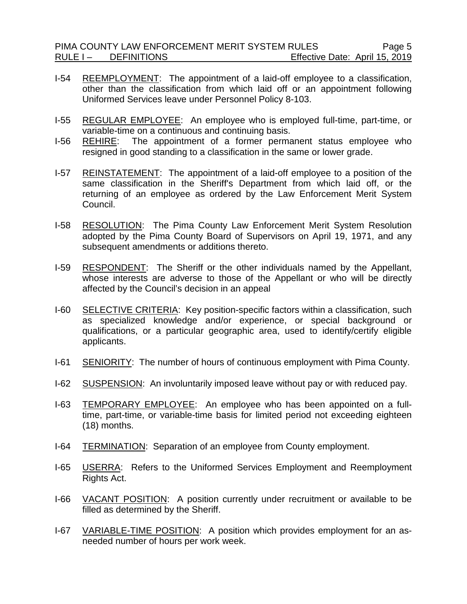- I-54 REEMPLOYMENT: The appointment of a laid-off employee to a classification, other than the classification from which laid off or an appointment following Uniformed Services leave under Personnel Policy 8-103.
- I-55 REGULAR EMPLOYEE: An employee who is employed full-time, part-time, or variable-time on a continuous and continuing basis.
- I-56 REHIRE: The appointment of a former permanent status employee who resigned in good standing to a classification in the same or lower grade.
- I-57 REINSTATEMENT: The appointment of a laid-off employee to a position of the same classification in the Sheriff's Department from which laid off, or the returning of an employee as ordered by the Law Enforcement Merit System Council.
- I-58 RESOLUTION: The Pima County Law Enforcement Merit System Resolution adopted by the Pima County Board of Supervisors on April 19, 1971, and any subsequent amendments or additions thereto.
- I-59 RESPONDENT: The Sheriff or the other individuals named by the Appellant, whose interests are adverse to those of the Appellant or who will be directly affected by the Council's decision in an appeal
- I-60 SELECTIVE CRITERIA: Key position-specific factors within a classification, such as specialized knowledge and/or experience, or special background or qualifications, or a particular geographic area, used to identify/certify eligible applicants.
- I-61 SENIORITY: The number of hours of continuous employment with Pima County.
- I-62 SUSPENSION: An involuntarily imposed leave without pay or with reduced pay.
- I-63 TEMPORARY EMPLOYEE: An employee who has been appointed on a fulltime, part-time, or variable-time basis for limited period not exceeding eighteen (18) months.
- I-64 TERMINATION: Separation of an employee from County employment.
- I-65 USERRA: Refers to the Uniformed Services Employment and Reemployment Rights Act.
- I-66 VACANT POSITION: A position currently under recruitment or available to be filled as determined by the Sheriff.
- I-67 VARIABLE-TIME POSITION: A position which provides employment for an asneeded number of hours per work week.